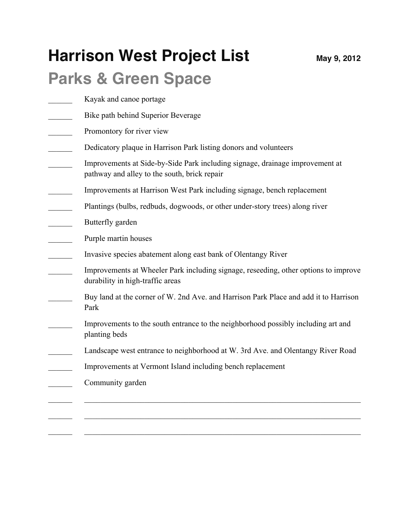## **Harrison West Project List** May 9, 2012

## **Parks & Green Space**

- Kayak and canoe portage
- Bike path behind Superior Beverage
- Promontory for river view
- Dedicatory plaque in Harrison Park listing donors and volunteers
- \_\_\_\_\_\_ Improvements at Side-by-Side Park including signage, drainage improvement at pathway and alley to the south, brick repair
- \_\_\_\_\_\_ Improvements at Harrison West Park including signage, bench replacement
- \_\_\_\_\_\_ Plantings (bulbs, redbuds, dogwoods, or other under-story trees) along river
- \_\_\_\_\_\_ Butterfly garden
- Purple martin houses
- \_\_\_\_\_\_ Invasive species abatement along east bank of Olentangy River
- Improvements at Wheeler Park including signage, reseeding, other options to improve durability in high-traffic areas
- Buy land at the corner of W. 2nd Ave. and Harrison Park Place and add it to Harrison Park
- Improvements to the south entrance to the neighborhood possibly including art and planting beds
- Landscape west entrance to neighborhood at W. 3rd Ave. and Olentangy River Road

 $\_$  , and the contribution of the contribution of  $\mathcal{L}_\mathcal{A}$  , and the contribution of  $\mathcal{L}_\mathcal{A}$ 

 $\_$  , and the contribution of the contribution of  $\mathcal{L}_\mathcal{A}$  , and the contribution of  $\mathcal{L}_\mathcal{A}$ 

 $\_$  , and the contribution of the contribution of  $\mathcal{L}_\mathcal{A}$  , and the contribution of  $\mathcal{L}_\mathcal{A}$ 

- \_\_\_\_\_\_ Improvements at Vermont Island including bench replacement
- \_\_\_\_\_\_ Community garden